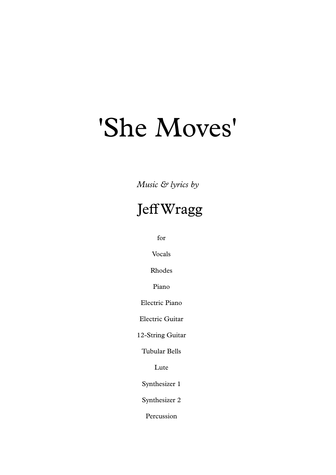## 'She Moves'

*Music & lyrics by*

## JeffWragg

for

Vocals

Rhodes

Piano

Electric Piano

Electric Guitar

12-String Guitar

Tubular Bells

Lute

Synthesizer 1

Synthesizer 2

Percussion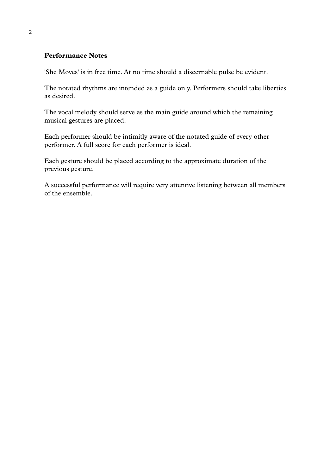## **Performance Notes**

'She Moves' is in free time. At no time should a discernable pulse be evident.

The notated rhythms are intended as a guide only. Performers should take liberties as desired.

The vocal melody should serve as the main guide around which the remaining musical gestures are placed.

Each performer should be intimitly aware of the notated guide of every other performer. A full score for each performer is ideal.

Each gesture should be placed according to the approximate duration of the previous gesture.

A successful performance will require very attentive listening between all members of the ensemble.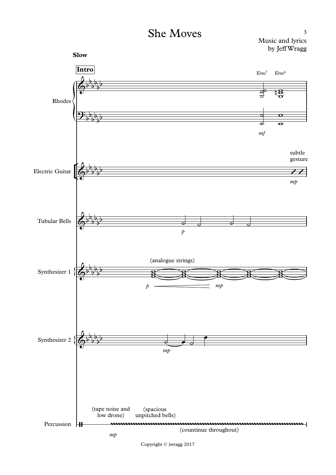## She Moves

Music and lyrics by JeffWragg 3



Copyright © jwragg 2017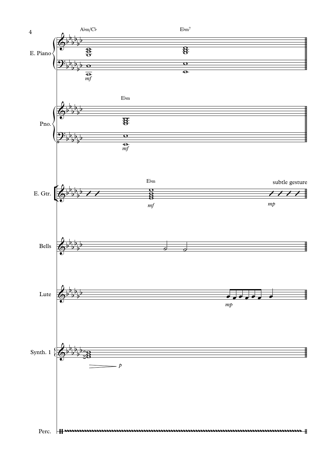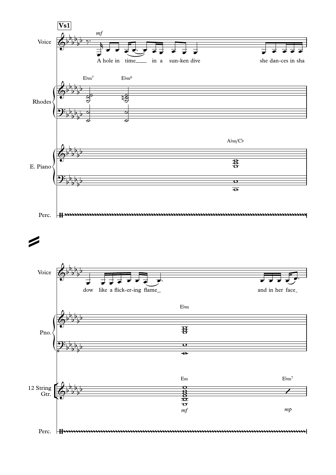



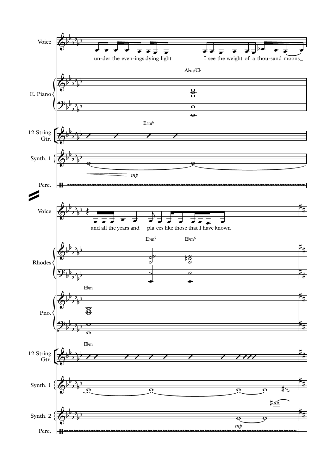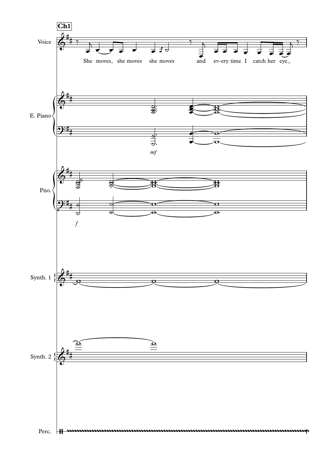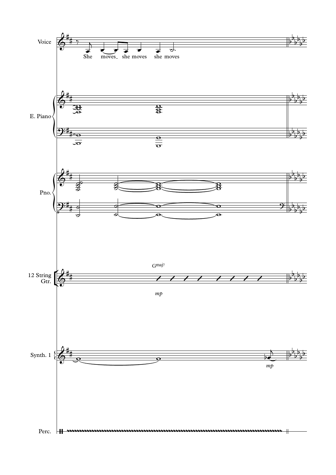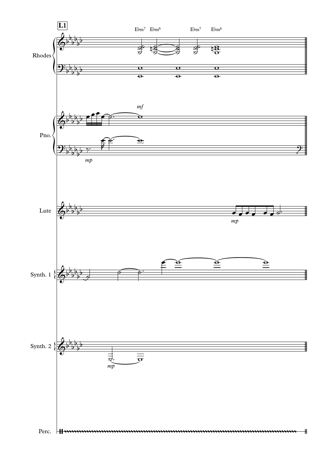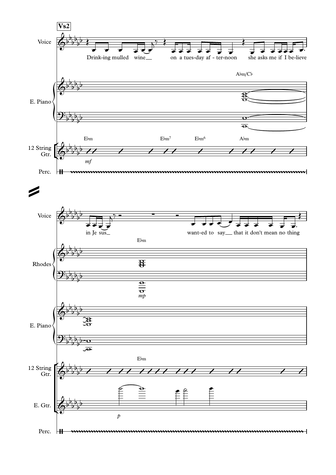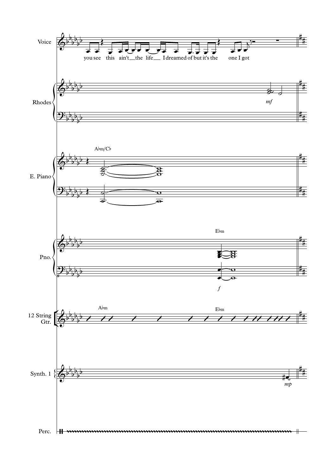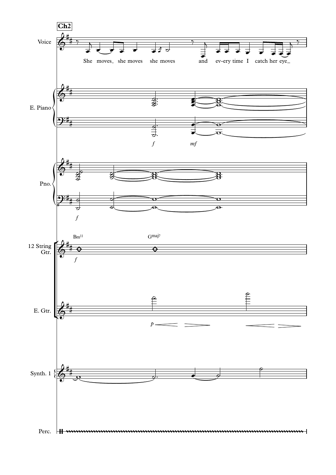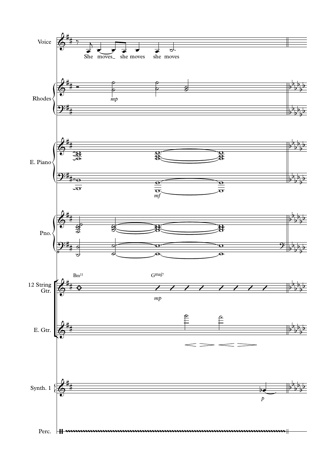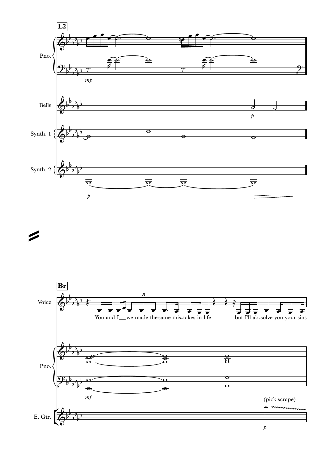

=

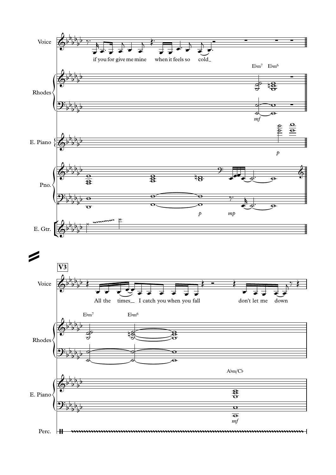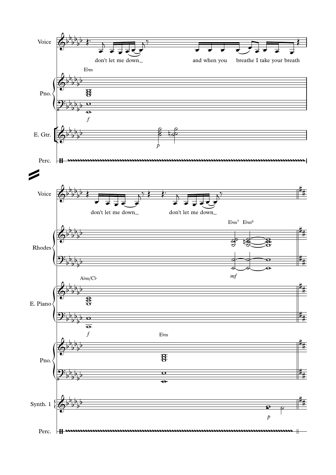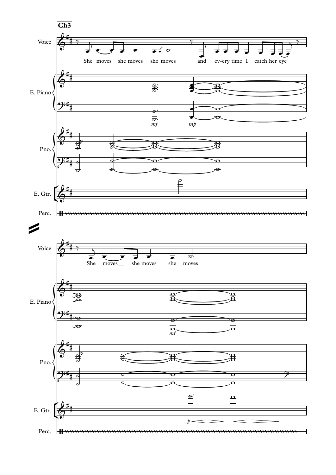